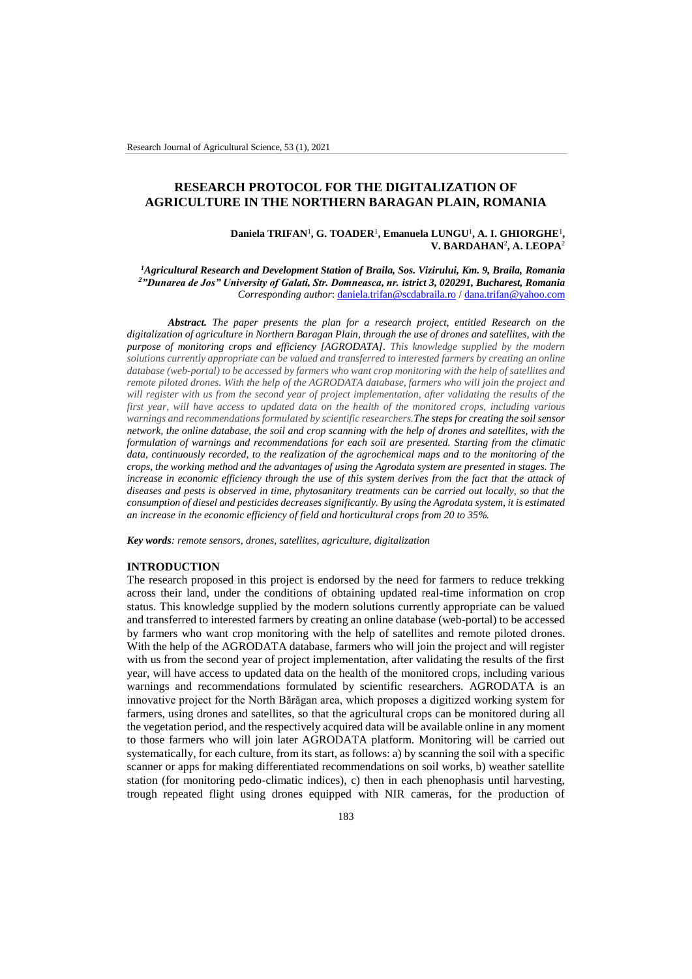# **RESEARCH PROTOCOL FOR THE DIGITALIZATION OF AGRICULTURE IN THE NORTHERN BARAGAN PLAIN, ROMANIA**

#### Daniela TRIFAN<sup>1</sup>, G. TOADER<sup>1</sup>, Emanuela LUNGU<sup>1</sup>, A. I. GHIORGHE<sup>1</sup>, **V. BARDAHAN**<sup>2</sup> **, A. LEOPA**<sup>2</sup>

*<sup>1</sup>Agricultural Research and Development Station of Braila, Sos. Vizirului, Km. 9, Braila, Romania <sup>2</sup>"Dunarea de Jos" University of Galati, Str. Domneasca, nr. istrict 3, 020291, Bucharest, Romania Corresponding author*[: daniela.trifan@scdabraila.ro](mailto:daniela.trifan@scdabraila.ro) [/ dana.trifan@yahoo.com](mailto:dana.trifan@yahoo.com)

*Abstract. The paper presents the plan for a research project, entitled Research on the digitalization of agriculture in Northern Baragan Plain, through the use of drones and satellites, with the purpose of monitoring crops and efficiency [AGRODATA]. This knowledge supplied by the modern solutions currently appropriate can be valued and transferred to interested farmers by creating an online database (web-portal) to be accessed by farmers who want crop monitoring with the help of satellites and remote piloted drones. With the help of the AGRODATA database, farmers who will join the project and will register with us from the second year of project implementation, after validating the results of the first year, will have access to updated data on the health of the monitored crops, including various warnings and recommendations formulated by scientific researchers.The steps for creating the soil sensor network, the online database, the soil and crop scanning with the help of drones and satellites, with the formulation of warnings and recommendations for each soil are presented. Starting from the climatic*  data, continuously recorded, to the realization of the agrochemical maps and to the monitoring of the *crops, the working method and the advantages of using the Agrodata system are presented in stages. The increase in economic efficiency through the use of this system derives from the fact that the attack of diseases and pests is observed in time, phytosanitary treatments can be carried out locally, so that the consumption of diesel and pesticides decreases significantly. By using the Agrodata system, it is estimated an increase in the economic efficiency of field and horticultural crops from 20 to 35%.*

*Key words: remote sensors, drones, satellites, agriculture, digitalization*

#### **INTRODUCTION**

The research proposed in this project is endorsed by the need for farmers to reduce trekking across their land, under the conditions of obtaining updated real-time information on crop status. This knowledge supplied by the modern solutions currently appropriate can be valued and transferred to interested farmers by creating an online database (web-portal) to be accessed by farmers who want crop monitoring with the help of satellites and remote piloted drones. With the help of the AGRODATA database, farmers who will join the project and will register with us from the second year of project implementation, after validating the results of the first year, will have access to updated data on the health of the monitored crops, including various warnings and recommendations formulated by scientific researchers. AGRODATA is an innovative project for the North Bărăgan area, which proposes a digitized working system for farmers, using drones and satellites, so that the agricultural crops can be monitored during all the vegetation period, and the respectively acquired data will be available online in any moment to those farmers who will join later AGRODATA platform. Monitoring will be carried out systematically, for each culture, from its start, as follows: a) by scanning the soil with a specific scanner or apps for making differentiated recommendations on soil works, b) weather satellite station (for monitoring pedo-climatic indices), c) then in each phenophasis until harvesting, trough repeated flight using drones equipped with NIR cameras, for the production of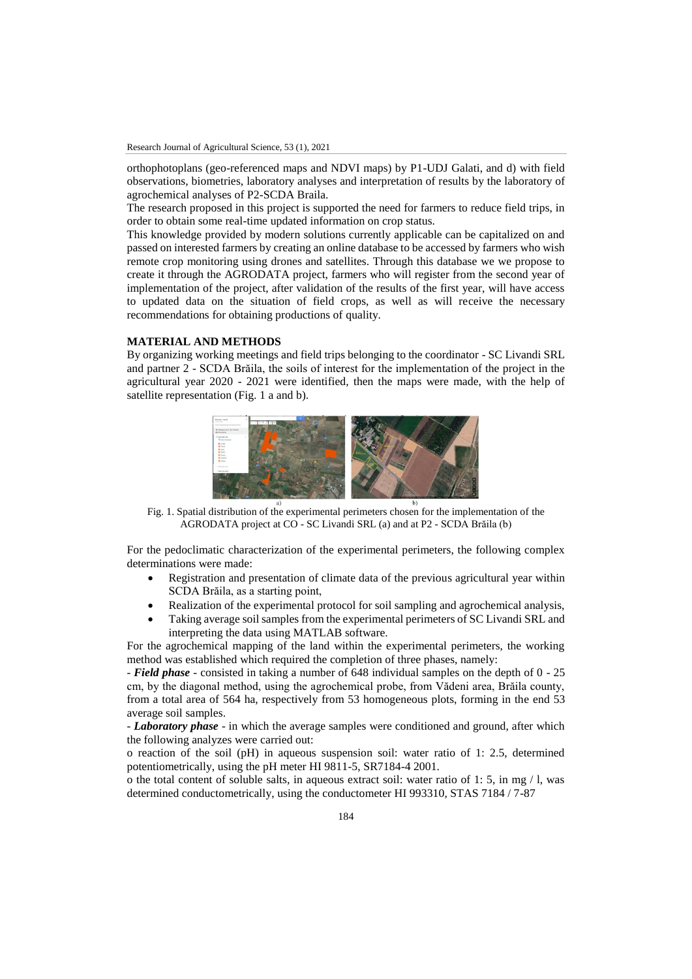orthophotoplans (geo-referenced maps and NDVI maps) by P1-UDJ Galati, and d) with field observations, biometries, laboratory analyses and interpretation of results by the laboratory of agrochemical analyses of P2-SCDA Braila.

The research proposed in this project is supported the need for farmers to reduce field trips, in order to obtain some real-time updated information on crop status.

This knowledge provided by modern solutions currently applicable can be capitalized on and passed on interested farmers by creating an online database to be accessed by farmers who wish remote crop monitoring using drones and satellites. Through this database we we propose to create it through the AGRODATA project, farmers who will register from the second year of implementation of the project, after validation of the results of the first year, will have access to updated data on the situation of field crops, as well as will receive the necessary recommendations for obtaining productions of quality.

#### **MATERIAL AND METHODS**

By organizing working meetings and field trips belonging to the coordinator - SC Livandi SRL and partner 2 - SCDA Brăila, the soils of interest for the implementation of the project in the agricultural year 2020 - 2021 were identified, then the maps were made, with the help of satellite representation (Fig. 1 a and b).



Fig. 1. Spatial distribution of the experimental perimeters chosen for the implementation of the AGRODATA project at CO - SC Livandi SRL (a) and at P2 - SCDA Brăila (b)

For the pedoclimatic characterization of the experimental perimeters, the following complex determinations were made:

- Registration and presentation of climate data of the previous agricultural year within SCDA Brăila, as a starting point,
- Realization of the experimental protocol for soil sampling and agrochemical analysis,
- Taking average soil samples from the experimental perimeters of SC Livandi SRL and interpreting the data using MATLAB software.

For the agrochemical mapping of the land within the experimental perimeters, the working method was established which required the completion of three phases, namely:

- *Field phase* - consisted in taking a number of 648 individual samples on the depth of 0 - 25 cm, by the diagonal method, using the agrochemical probe, from Vădeni area, Brăila county, from a total area of 564 ha, respectively from 53 homogeneous plots, forming in the end 53 average soil samples.

- *Laboratory phase* - in which the average samples were conditioned and ground, after which the following analyzes were carried out:

o reaction of the soil (pH) in aqueous suspension soil: water ratio of 1: 2.5, determined potentiometrically, using the pH meter HI 9811-5, SR7184-4 2001.

o the total content of soluble salts, in aqueous extract soil: water ratio of 1: 5, in mg / l, was determined conductometrically, using the conductometer HI 993310, STAS 7184 / 7-87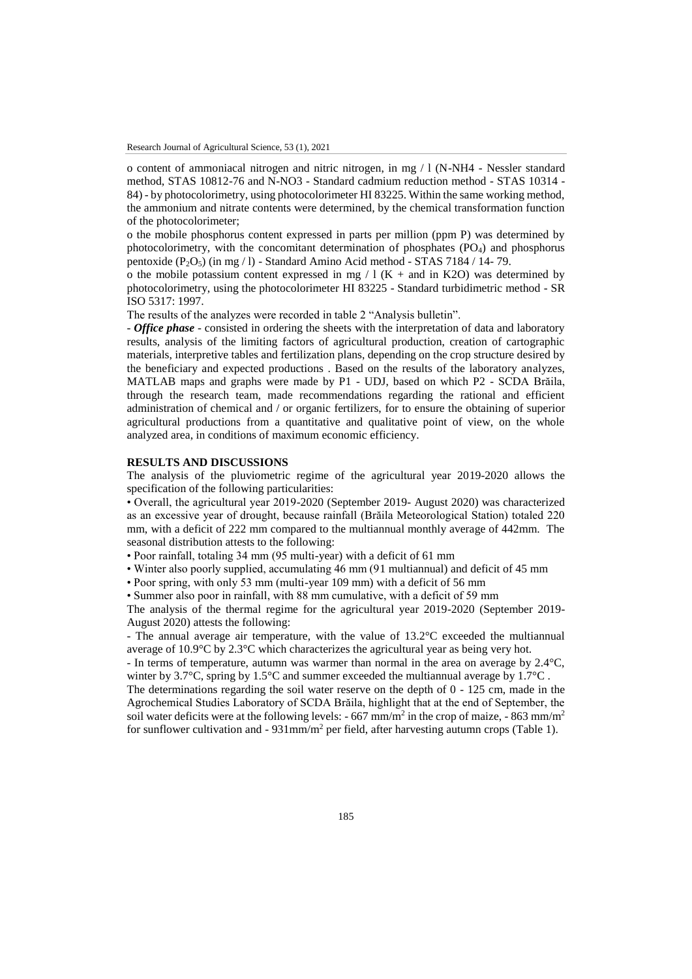o content of ammoniacal nitrogen and nitric nitrogen, in mg / l (N-NH4 - Nessler standard method, STAS 10812-76 and N-NO3 - Standard cadmium reduction method - STAS 10314 - 84) - by photocolorimetry, using photocolorimeter HI 83225. Within the same working method, the ammonium and nitrate contents were determined, by the chemical transformation function of the photocolorimeter;

o the mobile phosphorus content expressed in parts per million (ppm P) was determined by photocolorimetry, with the concomitant determination of phosphates (PO4) and phosphorus pentoxide  $(P_2O_5)$  (in mg / l) - Standard Amino Acid method - STAS 7184 / 14- 79.

o the mobile potassium content expressed in mg  $/ 1$  (K + and in K2O) was determined by photocolorimetry, using the photocolorimeter HI 83225 - Standard turbidimetric method - SR ISO 5317: 1997.

The results of the analyzes were recorded in table 2 "Analysis bulletin".

- *Office phase* - consisted in ordering the sheets with the interpretation of data and laboratory results, analysis of the limiting factors of agricultural production, creation of cartographic materials, interpretive tables and fertilization plans, depending on the crop structure desired by the beneficiary and expected productions . Based on the results of the laboratory analyzes, MATLAB maps and graphs were made by P1 - UDJ, based on which P2 - SCDA Brăila, through the research team, made recommendations regarding the rational and efficient administration of chemical and / or organic fertilizers, for to ensure the obtaining of superior agricultural productions from a quantitative and qualitative point of view, on the whole analyzed area, in conditions of maximum economic efficiency.

#### **RESULTS AND DISCUSSIONS**

The analysis of the pluviometric regime of the agricultural year 2019-2020 allows the specification of the following particularities:

• Overall, the agricultural year 2019-2020 (September 2019- August 2020) was characterized as an excessive year of drought, because rainfall (Brăila Meteorological Station) totaled 220 mm, with a deficit of 222 mm compared to the multiannual monthly average of 442mm. The seasonal distribution attests to the following:

• Poor rainfall, totaling 34 mm (95 multi-year) with a deficit of 61 mm

• Winter also poorly supplied, accumulating 46 mm (91 multiannual) and deficit of 45 mm

• Poor spring, with only 53 mm (multi-year 109 mm) with a deficit of 56 mm

• Summer also poor in rainfall, with 88 mm cumulative, with a deficit of 59 mm

The analysis of the thermal regime for the agricultural year 2019-2020 (September 2019- August 2020) attests the following:

- The annual average air temperature, with the value of 13.2°C exceeded the multiannual average of  $10.9^{\circ}$ C by  $2.3^{\circ}$ C which characterizes the agricultural year as being very hot.

- In terms of temperature, autumn was warmer than normal in the area on average by 2.4°C, winter by 3.7°C, spring by 1.5°C and summer exceeded the multiannual average by 1.7°C.

The determinations regarding the soil water reserve on the depth of 0 - 125 cm, made in the Agrochemical Studies Laboratory of SCDA Brăila, highlight that at the end of September, the soil water deficits were at the following levels:  $-667$  mm/m<sup>2</sup> in the crop of maize,  $-863$  mm/m<sup>2</sup> for sunflower cultivation and -  $931$ mm/m<sup>2</sup> per field, after harvesting autumn crops (Table 1).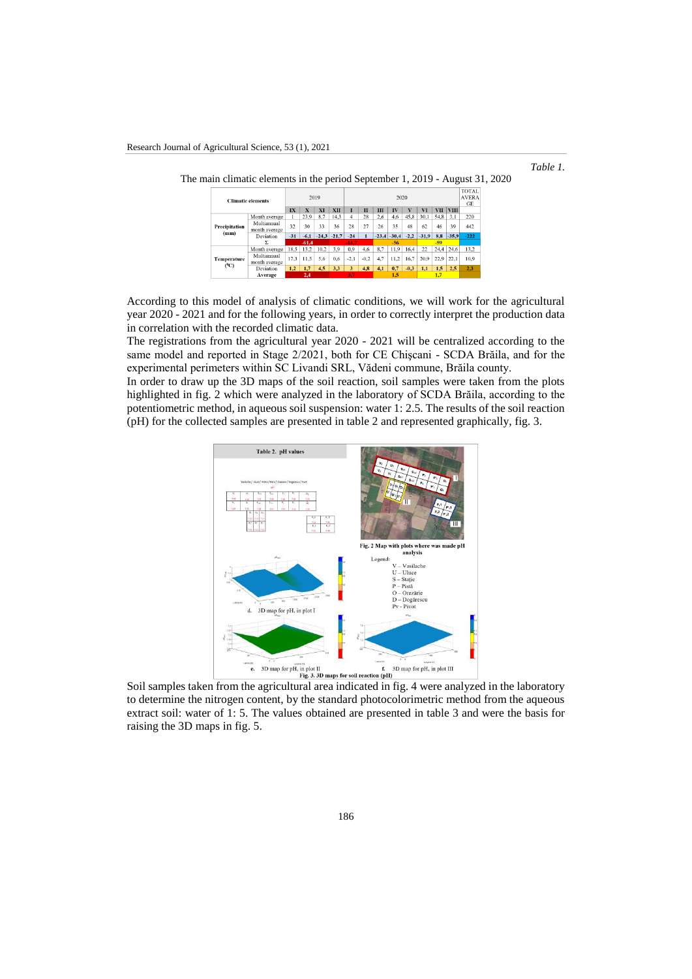

|                              | The main climatic elements in the period September 1, 2019 - August 31, 2020 |       |         |      |                 |                    |        |       |                 |        |         |                                    |             |        |
|------------------------------|------------------------------------------------------------------------------|-------|---------|------|-----------------|--------------------|--------|-------|-----------------|--------|---------|------------------------------------|-------------|--------|
| <b>Climatic elements</b>     | 2019                                                                         |       |         |      | 2020            |                    |        |       |                 |        |         | <b>TOTAL</b><br><b>AVERA</b><br>GE |             |        |
|                              |                                                                              | IX    | X       | XI   | XП              |                    | п      | ш     | $\mathbf{I}$    |        | VI      | VII.                               | <b>VIII</b> |        |
|                              | Month average                                                                |       | 23.9    | 8.7  | 14.3            | $\overline{\bf 4}$ | 28     | 2.6   | 4.6             | 45,8   | 30.1    | 54,8                               | 3.1         | 220    |
| <b>Precipitation</b><br>(mm) | Multiannual<br>month average                                                 | 32    | 30      | 33   | 36              | 28                 | 27     | 26    | 35              | 48     | 62      | 46                                 | 39          | 442    |
|                              | Deviation                                                                    | $-31$ | $-6,1$  |      | $-24.3$ $-21.7$ | $-24$              |        |       | $-23,4$ $-30,4$ | $-2,2$ | $-31.9$ | 8.8                                | $-35.9$     | $-222$ |
|                              |                                                                              |       | $-61.4$ |      |                 | $-44.7$            |        | $-56$ |                 |        | $-59$   |                                    |             |        |
| Temperature<br>$(^{0}C)$     | Month average                                                                | 18.5  | 13,2    | 10,2 | 3.9             | 0.9                | 4,6    | 8.7   | 11.9            | 16,4   | 22      | 24,4                               | 24.6        | 13.2   |
|                              | Multiannual<br>month average                                                 | 17.3  | 11.5    | 5.6  | 0.6             | $-2.1$             | $-0,2$ | 4,7   | 11.2            | 16,7   | 20,9    | 22.9                               | 22.1        | 10.9   |
|                              | Deviation                                                                    | 1.2   | 1,7     | 4.5  | 3.3             | 3                  | 4.8    | 4.1   | 0.7             | $-0.3$ | 1.1     | 1.5                                | 2.5         | 2.3    |
|                              | Average                                                                      | 2,4   |         |      |                 | 1.5                |        |       | 1.7             |        |         |                                    |             |        |

According to this model of analysis of climatic conditions, we will work for the agricultural year 2020 - 2021 and for the following years, in order to correctly interpret the production data in correlation with the recorded climatic data.

The registrations from the agricultural year 2020 - 2021 will be centralized according to the same model and reported in Stage 2/2021, both for CE Chişcani - SCDA Brăila, and for the experimental perimeters within SC Livandi SRL, Vădeni commune, Brăila county.

In order to draw up the 3D maps of the soil reaction, soil samples were taken from the plots highlighted in fig. 2 which were analyzed in the laboratory of SCDA Brăila, according to the potentiometric method, in aqueous soil suspension: water 1: 2.5. The results of the soil reaction (pH) for the collected samples are presented in table 2 and represented graphically, fig. 3.



to determine the nitrogen content, by the standard photocolorimetric method from the aqueous extract soil: water of 1: 5. The values obtained are presented in table 3 and were the basis for raising the 3D maps in fig. 5.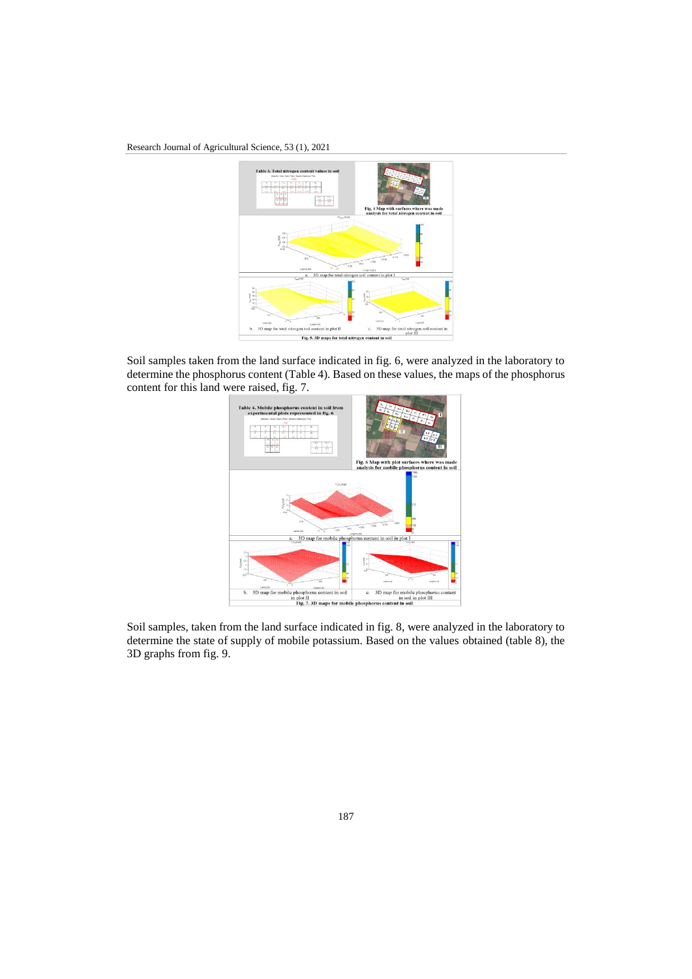## Research Journal of Agricultural Science, 53 (1), 2021



Soil samples taken from the land surface indicated in fig. 6, were analyzed in the laboratory to determine the phosphorus content (Table 4). Based on these values, the maps of the phosphorus content for this land were raised, fig. 7.



Soil samples, taken from the land surface indicated in fig. 8, were analyzed in the laboratory to determine the state of supply of mobile potassium. Based on the values obtained (table 8), the 3D graphs from fig. 9.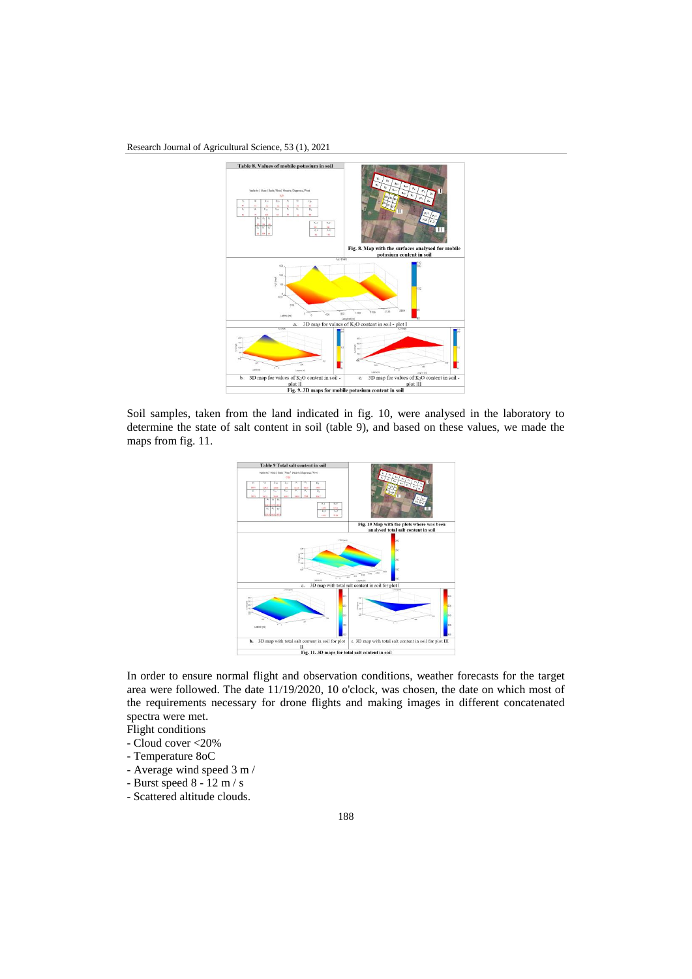## Research Journal of Agricultural Science, 53 (1), 2021



Soil samples, taken from the land indicated in fig. 10, were analysed in the laboratory to determine the state of salt content in soil (table 9), and based on these values, we made the maps from fig. 11.



In order to ensure normal flight and observation conditions, weather forecasts for the target area were followed. The date 11/19/2020, 10 o'clock, was chosen, the date on which most of the requirements necessary for drone flights and making images in different concatenated spectra were met.

- Flight conditions
- Cloud cover <20%
- Temperature 8oC
- Average wind speed 3 m /
- Burst speed 8 12 m / s
- Scattered altitude clouds.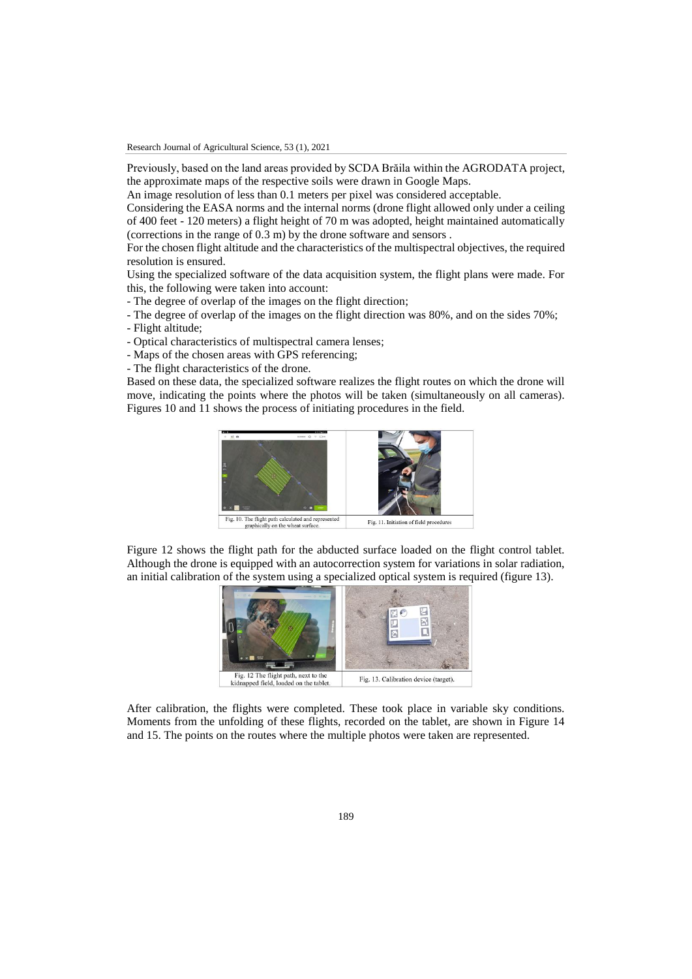Previously, based on the land areas provided by SCDA Brăila within the AGRODATA project, the approximate maps of the respective soils were drawn in Google Maps.

An image resolution of less than 0.1 meters per pixel was considered acceptable.

Considering the EASA norms and the internal norms (drone flight allowed only under a ceiling of 400 feet - 120 meters) a flight height of 70 m was adopted, height maintained automatically (corrections in the range of 0.3 m) by the drone software and sensors .

For the chosen flight altitude and the characteristics of the multispectral objectives, the required resolution is ensured.

Using the specialized software of the data acquisition system, the flight plans were made. For this, the following were taken into account:

- The degree of overlap of the images on the flight direction;
- The degree of overlap of the images on the flight direction was 80%, and on the sides 70%;
- Flight altitude;
- Optical characteristics of multispectral camera lenses;
- Maps of the chosen areas with GPS referencing;
- The flight characteristics of the drone.

Based on these data, the specialized software realizes the flight routes on which the drone will move, indicating the points where the photos will be taken (simultaneously on all cameras). Figures 10 and 11 shows the process of initiating procedures in the field.



Figure 12 shows the flight path for the abducted surface loaded on the flight control tablet. Although the drone is equipped with an autocorrection system for variations in solar radiation, an initial calibration of the system using a specialized optical system is required (figure 13).



After calibration, the flights were completed. These took place in variable sky conditions. Moments from the unfolding of these flights, recorded on the tablet, are shown in Figure 14 and 15. The points on the routes where the multiple photos were taken are represented.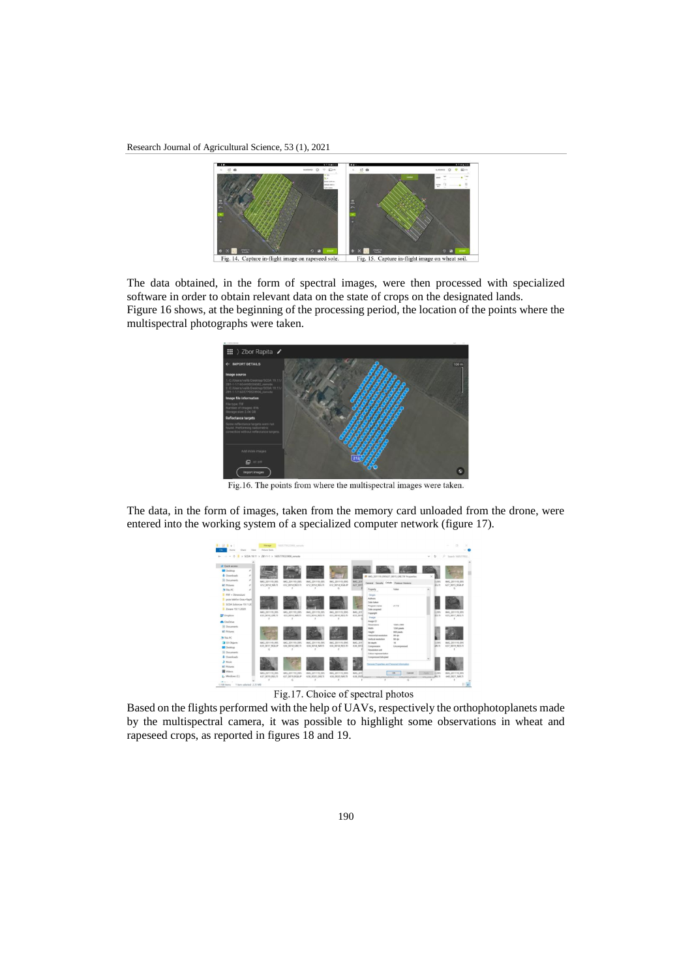Research Journal of Agricultural Science, 53 (1), 2021



The data obtained, in the form of spectral images, were then processed with specialized software in order to obtain relevant data on the state of crops on the designated lands. Figure 16 shows, at the beginning of the processing period, the location of the points where the multispectral photographs were taken.



Fig.16. The points from where the multispectral images were taken.

The data, in the form of images, taken from the memory card unloaded from the drone, were entered into the working system of a specialized computer network (figure 17).

|                            |            | -> v + 2 > SCDA 19.11 > ZB1-1-1 > 1605779523906 remote |                                   |                                    |                                   |                           |                                                         | $\circ$<br>w.    |              | P Search 160577952               |
|----------------------------|------------|--------------------------------------------------------|-----------------------------------|------------------------------------|-----------------------------------|---------------------------|---------------------------------------------------------|------------------|--------------|----------------------------------|
| all- Quick access          |            |                                                        |                                   |                                    |                                   |                           |                                                         |                  |              |                                  |
| Desktop                    | ×          |                                                        |                                   |                                    |                                   |                           |                                                         |                  |              |                                  |
| <b>4</b> Downloads         | $\sigma$   |                                                        |                                   |                                    |                                   |                           |                                                         | $\times$         |              |                                  |
| <b>B</b> Documents         | $\epsilon$ |                                                        |                                   |                                    |                                   |                           | 2 IMG, 201119 095627_0015 GRETIF Properties             |                  |              |                                  |
| <b>All Pictures</b>        | ÷          | IMG, 201119-095<br>612,0014 N/R.TI                     | IMG 201119.095<br>612,0014 RED.TI | IMG 201119.095<br>612,0014, REG.TI | IMG 201119.095<br>612 0014 RGB.IP | <b>IMG 201</b><br>627,001 | General Security Drillah Previous Venices               |                  | i oss<br>SG. | IMG 201119.095<br>627,0015 RGBJP |
| <b>Ja This PC</b>          |            |                                                        |                                   |                                    |                                   |                           | Property<br>Vale                                        | $\lambda$        |              |                                  |
| PCE + Dimensioni           |            |                                                        |                                   |                                    |                                   |                           | Origin                                                  |                  |              |                                  |
| Process telefon Grau+Rapit |            |                                                        |                                   |                                    |                                   |                           | Authors                                                 |                  |              |                                  |
| SCDA Solomow 19.11.20      |            |                                                        |                                   |                                    |                                   |                           | <b>Craha Eakers</b>                                     |                  |              |                                  |
| 7 Zonare 19.11.2020        |            |                                                        |                                   |                                    |                                   |                           | v1.72<br>Program name<br><b>Clubs acquired</b>          |                  |              |                                  |
|                            |            | IMG.201119.095                                         | IMG 201119.095                    | IMG 201119-095                     | IMG 201119.095                    | IMG 201                   | Copyright                                               |                  | k ons        | IMG 201119.095                   |
| <b>LF</b> Dropbox          |            | 633 0016 GRE TI                                        | 633 0016 NR.TL                    | 633 0016 RED.TI                    | 633 0016 REG.TI                   | 633 0016                  | Image                                                   |                  | ED.TI        | 635, 0017, REG.TI                |
| <b>Challing</b>            |            |                                                        |                                   |                                    |                                   |                           | Image IO                                                |                  |              |                                  |
| <b>Si</b> Documents        |            |                                                        |                                   |                                    |                                   |                           | 1200 x 000<br><b>Chronologie</b><br>1200 passis<br>Wumb |                  |              |                                  |
| <b>E</b> Pictures          |            |                                                        |                                   |                                    |                                   |                           | Height<br>980 piech.                                    |                  |              |                                  |
| <b>No This PC</b>          |            |                                                        |                                   |                                    |                                   |                           | Hotzental resolution<br>96 dps                          |                  |              |                                  |
| 3 3D Objects               |            | IMG 201119-095                                         | IMG 201119-095                    | IMG 201119-095                     | IMG 201119-095                    | <b>IMG 201</b>            | Verficul resolution<br>96 doi<br>×<br>Dif death         |                  | i ov.        | IMG 201119-095                   |
| <b>Desktop</b>             |            | 635 0017 RGB.IP                                        | 636 0018 GRETI                    | 636 0018 N/ATI                     | 636, 0018 RED.TI                  | 636 0018                  | Compression<br>Uncompressed                             |                  | in n         | 637 0019 RED.TI                  |
| <b>S</b> Documents         |            |                                                        |                                   |                                    |                                   |                           | <b>Description cast</b>                                 |                  |              |                                  |
| & Downloads                |            |                                                        |                                   |                                    |                                   |                           | Critical representation                                 |                  |              |                                  |
| A Masic                    |            |                                                        |                                   |                                    |                                   |                           | Compressed bitsipied                                    | $\omega$         |              |                                  |
| <b>ET Pictures</b>         |            |                                                        |                                   |                                    |                                   |                           | Renow Propertex and Personal Internation                |                  |              |                                  |
|                            |            |                                                        |                                   |                                    |                                   |                           |                                                         |                  |              |                                  |
| <b>N</b> Videos            |            | IMG 201119-095                                         | IMG 201119-095                    | IMG 201119-095                     | IMG 201119-095                    | <b>IMG 201</b>            | <b>OK</b><br>Cancel                                     | <b>Public</b>    | 3.095        | IMG 201119 095                   |
| L. Wedows (C)              |            | 637 0019 REG.TI                                        | 637,0019 RGB.IP                   | 638 0020 GRE.TI                    | 638 0020 NR TI                    |                           | 638.000 увили - множественно - множественно             | www.www.aliti.th |              | 640 0021 NHLTI                   |

Fig.17. Choice of spectral photos

Based on the flights performed with the help of UAVs, respectively the orthophotoplanets made by the multispectral camera, it was possible to highlight some observations in wheat and rapeseed crops, as reported in figures 18 and 19.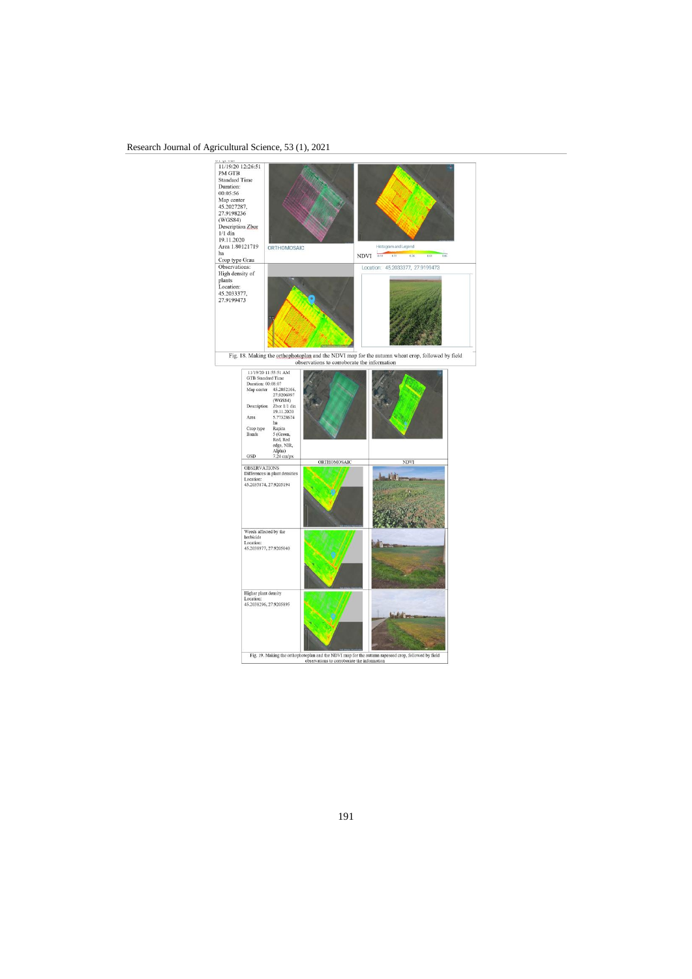## Research Journal of Agricultural Science, 53 (1), 2021



191